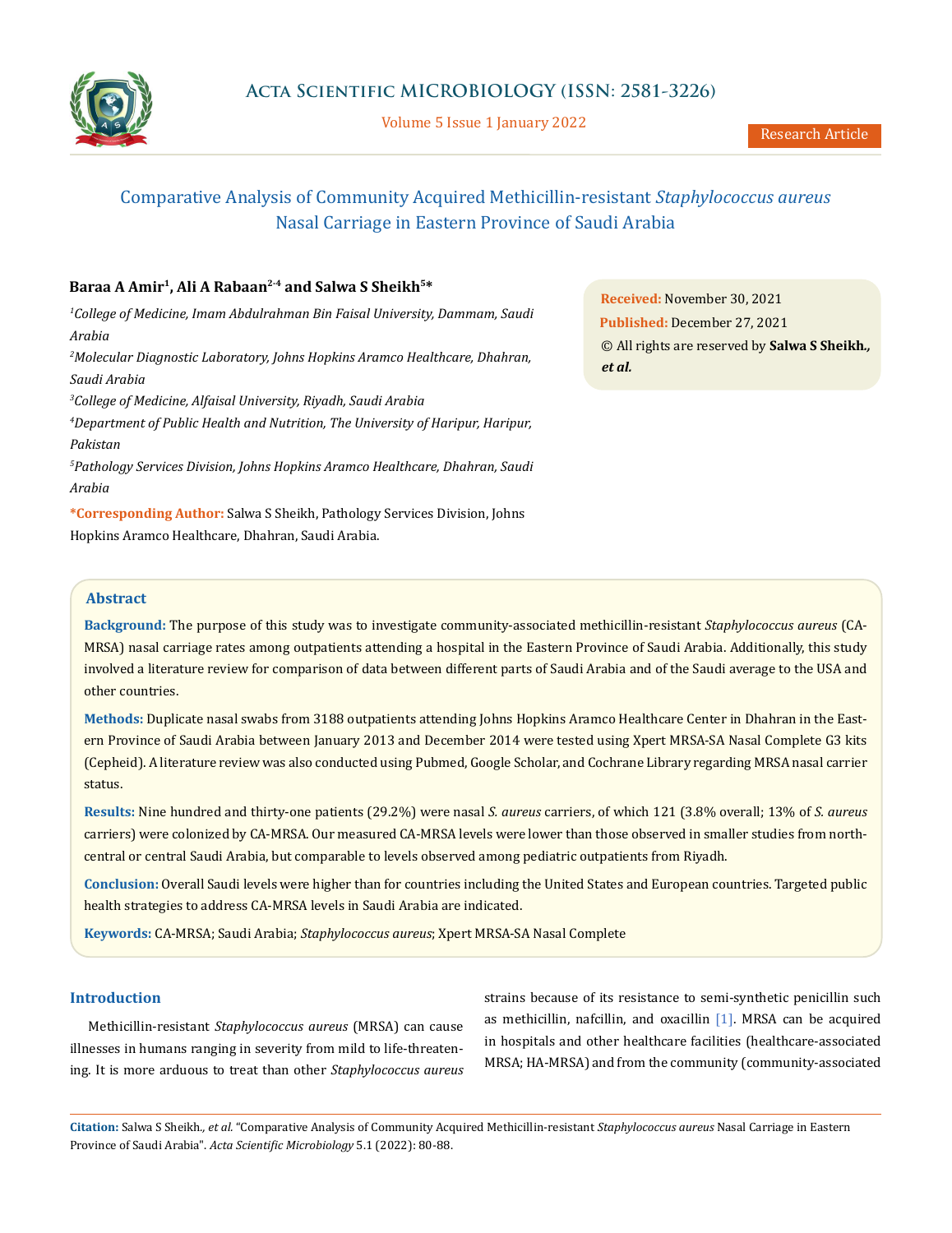

Volume 5 Issue 1 January 2022

# Comparative Analysis of Community Acquired Methicillin-resistant *Staphylococcus aureus* Nasal Carriage in Eastern Province of Saudi Arabia

# **Baraa A Amir1, Ali A Rabaan2-4 and Salwa S Sheikh5\***

*1 College of Medicine, Imam Abdulrahman Bin Faisal University, Dammam, Saudi Arabia 2 Molecular Diagnostic Laboratory, Johns Hopkins Aramco Healthcare, Dhahran,* 

*Saudi Arabia*

*3 College of Medicine, Alfaisal University, Riyadh, Saudi Arabia*

*4 Department of Public Health and Nutrition, The University of Haripur, Haripur, Pakistan*

*5 Pathology Services Division, Johns Hopkins Aramco Healthcare, Dhahran, Saudi Arabia*

**\*Corresponding Author:** Salwa S Sheikh, Pathology Services Division, Johns Hopkins Aramco Healthcare, Dhahran, Saudi Arabia.

**Received:** November 30, 2021 **Published:** December 27, 2021 © All rights are reserved by **Salwa S Sheikh***., et al.*

# **Abstract**

**Background:** The purpose of this study was to investigate community-associated methicillin-resistant *Staphylococcus aureus* (CA-MRSA) nasal carriage rates among outpatients attending a hospital in the Eastern Province of Saudi Arabia. Additionally, this study involved a literature review for comparison of data between different parts of Saudi Arabia and of the Saudi average to the USA and other countries.

**Methods:** Duplicate nasal swabs from 3188 outpatients attending Johns Hopkins Aramco Healthcare Center in Dhahran in the Eastern Province of Saudi Arabia between January 2013 and December 2014 were tested using Xpert MRSA-SA Nasal Complete G3 kits (Cepheid). A literature review was also conducted using Pubmed, Google Scholar, and Cochrane Library regarding MRSA nasal carrier status.

**Results:** Nine hundred and thirty-one patients (29.2%) were nasal *S. aureus* carriers, of which 121 (3.8% overall; 13% of *S. aureus* carriers) were colonized by CA-MRSA. Our measured CA-MRSA levels were lower than those observed in smaller studies from northcentral or central Saudi Arabia, but comparable to levels observed among pediatric outpatients from Riyadh.

**Conclusion:** Overall Saudi levels were higher than for countries including the United States and European countries. Targeted public health strategies to address CA-MRSA levels in Saudi Arabia are indicated.

**Keywords:** CA-MRSA; Saudi Arabia; *Staphylococcus aureus*; Xpert MRSA-SA Nasal Complete

# **Introduction**

Methicillin-resistant *Staphylococcus aureus* (MRSA) can cause illnesses in humans ranging in severity from mild to life-threatening. It is more arduous to treat than other *Staphylococcus aureus* strains because of its resistance to semi-synthetic penicillin such as methicillin, nafcillin, and oxacillin [1]. MRSA can be acquired in hospitals and other healthcare facilities (healthcare-associated MRSA; HA-MRSA) and from the community (community-associated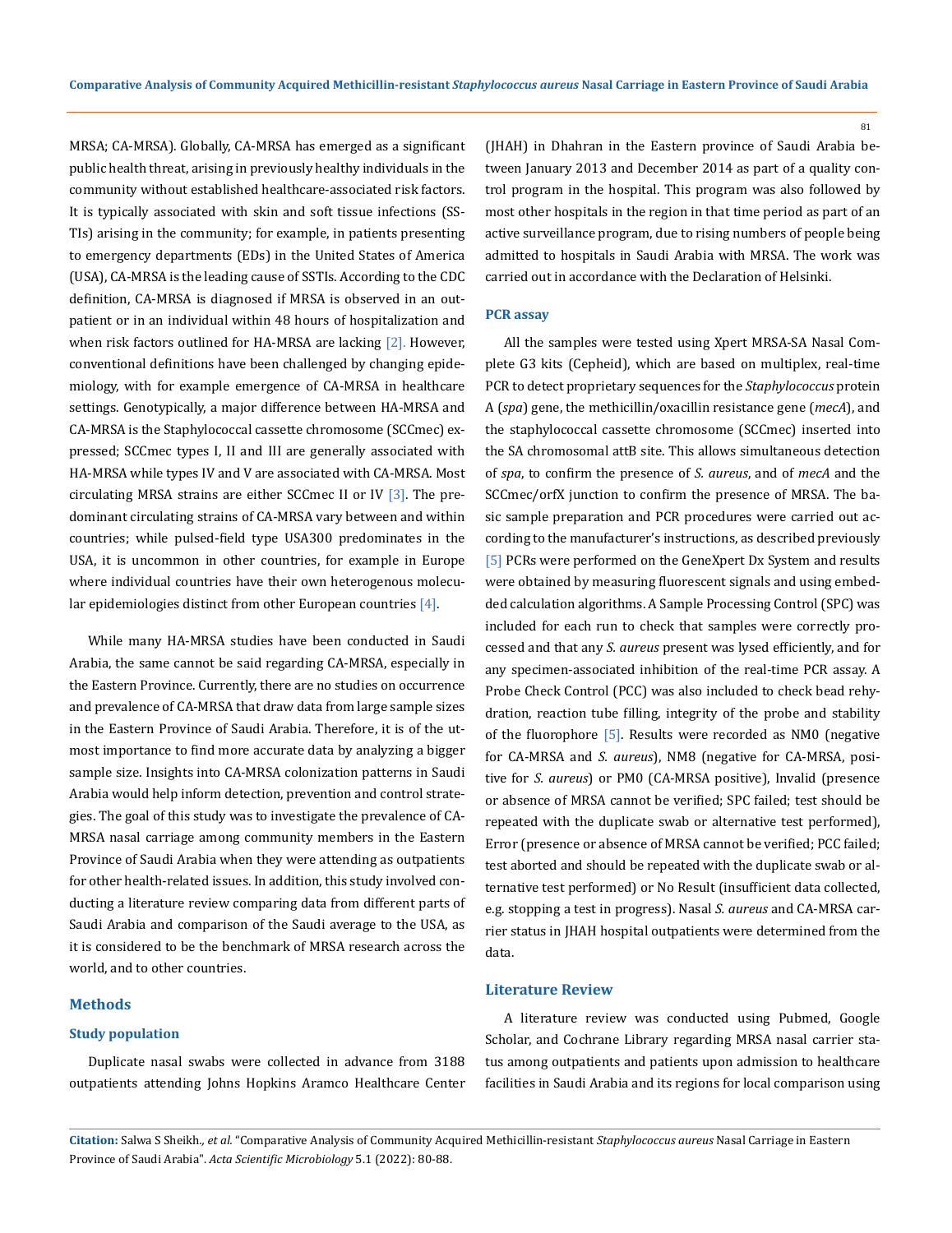MRSA; CA-MRSA). Globally, CA-MRSA has emerged as a significant public health threat, arising in previously healthy individuals in the community without established healthcare-associated risk factors. It is typically associated with skin and soft tissue infections (SS-TIs) arising in the community; for example, in patients presenting to emergency departments (EDs) in the United States of America (USA), CA-MRSA is the leading cause of SSTIs. According to the CDC definition, CA-MRSA is diagnosed if MRSA is observed in an outpatient or in an individual within 48 hours of hospitalization and when risk factors outlined for HA-MRSA are lacking [2]. However, conventional definitions have been challenged by changing epidemiology, with for example emergence of CA-MRSA in healthcare settings. Genotypically, a major difference between HA-MRSA and CA-MRSA is the Staphylococcal cassette chromosome (SCCmec) expressed; SCCmec types I, II and III are generally associated with HA-MRSA while types IV and V are associated with CA-MRSA. Most circulating MRSA strains are either SCCmec II or IV  $[3]$ . The predominant circulating strains of CA-MRSA vary between and within countries; while pulsed-field type USA300 predominates in the USA, it is uncommon in other countries, for example in Europe where individual countries have their own heterogenous molecular epidemiologies distinct from other European countries [4].

While many HA-MRSA studies have been conducted in Saudi Arabia, the same cannot be said regarding CA-MRSA, especially in the Eastern Province. Currently, there are no studies on occurrence and prevalence of CA-MRSA that draw data from large sample sizes in the Eastern Province of Saudi Arabia. Therefore, it is of the utmost importance to find more accurate data by analyzing a bigger sample size. Insights into CA-MRSA colonization patterns in Saudi Arabia would help inform detection, prevention and control strategies. The goal of this study was to investigate the prevalence of CA-MRSA nasal carriage among community members in the Eastern Province of Saudi Arabia when they were attending as outpatients for other health-related issues. In addition, this study involved conducting a literature review comparing data from different parts of Saudi Arabia and comparison of the Saudi average to the USA, as it is considered to be the benchmark of MRSA research across the world, and to other countries.

# **Methods**

### **Study population**

Duplicate nasal swabs were collected in advance from 3188 outpatients attending Johns Hopkins Aramco Healthcare Center (JHAH) in Dhahran in the Eastern province of Saudi Arabia between January 2013 and December 2014 as part of a quality control program in the hospital. This program was also followed by most other hospitals in the region in that time period as part of an active surveillance program, due to rising numbers of people being admitted to hospitals in Saudi Arabia with MRSA. The work was carried out in accordance with the Declaration of Helsinki.

# **PCR assay**

All the samples were tested using Xpert MRSA-SA Nasal Complete G3 kits (Cepheid), which are based on multiplex, real-time PCR to detect proprietary sequences for the *Staphylococcus* protein A (*spa*) gene, the methicillin/oxacillin resistance gene (*mecA*), and the staphylococcal cassette chromosome (SCCmec) inserted into the SA chromosomal attB site. This allows simultaneous detection of *spa*, to confirm the presence of *S. aureus*, and of *mecA* and the SCCmec/orfX junction to confirm the presence of MRSA. The basic sample preparation and PCR procedures were carried out according to the manufacturer's instructions, as described previously [5] PCRs were performed on the GeneXpert Dx System and results were obtained by measuring fluorescent signals and using embedded calculation algorithms. A Sample Processing Control (SPC) was included for each run to check that samples were correctly processed and that any *S. aureus* present was lysed efficiently, and for any specimen-associated inhibition of the real-time PCR assay. A Probe Check Control (PCC) was also included to check bead rehydration, reaction tube filling, integrity of the probe and stability of the fluorophore [5]. Results were recorded as NM0 (negative for CA-MRSA and *S. aureus*), NM8 (negative for CA-MRSA, positive for *S. aureus*) or PM0 (CA-MRSA positive), Invalid (presence or absence of MRSA cannot be verified; SPC failed; test should be repeated with the duplicate swab or alternative test performed), Error (presence or absence of MRSA cannot be verified; PCC failed; test aborted and should be repeated with the duplicate swab or alternative test performed) or No Result (insufficient data collected, e.g. stopping a test in progress). Nasal *S. aureus* and CA-MRSA carrier status in JHAH hospital outpatients were determined from the data.

### **Literature Review**

A literature review was conducted using Pubmed, Google Scholar, and Cochrane Library regarding MRSA nasal carrier status among outpatients and patients upon admission to healthcare facilities in Saudi Arabia and its regions for local comparison using

**Citation:** Salwa S Sheikh*., et al.* "Comparative Analysis of Community Acquired Methicillin-resistant *Staphylococcus aureus* Nasal Carriage in Eastern Province of Saudi Arabia". *Acta Scientific Microbiology* 5.1 (2022): 80-88.

81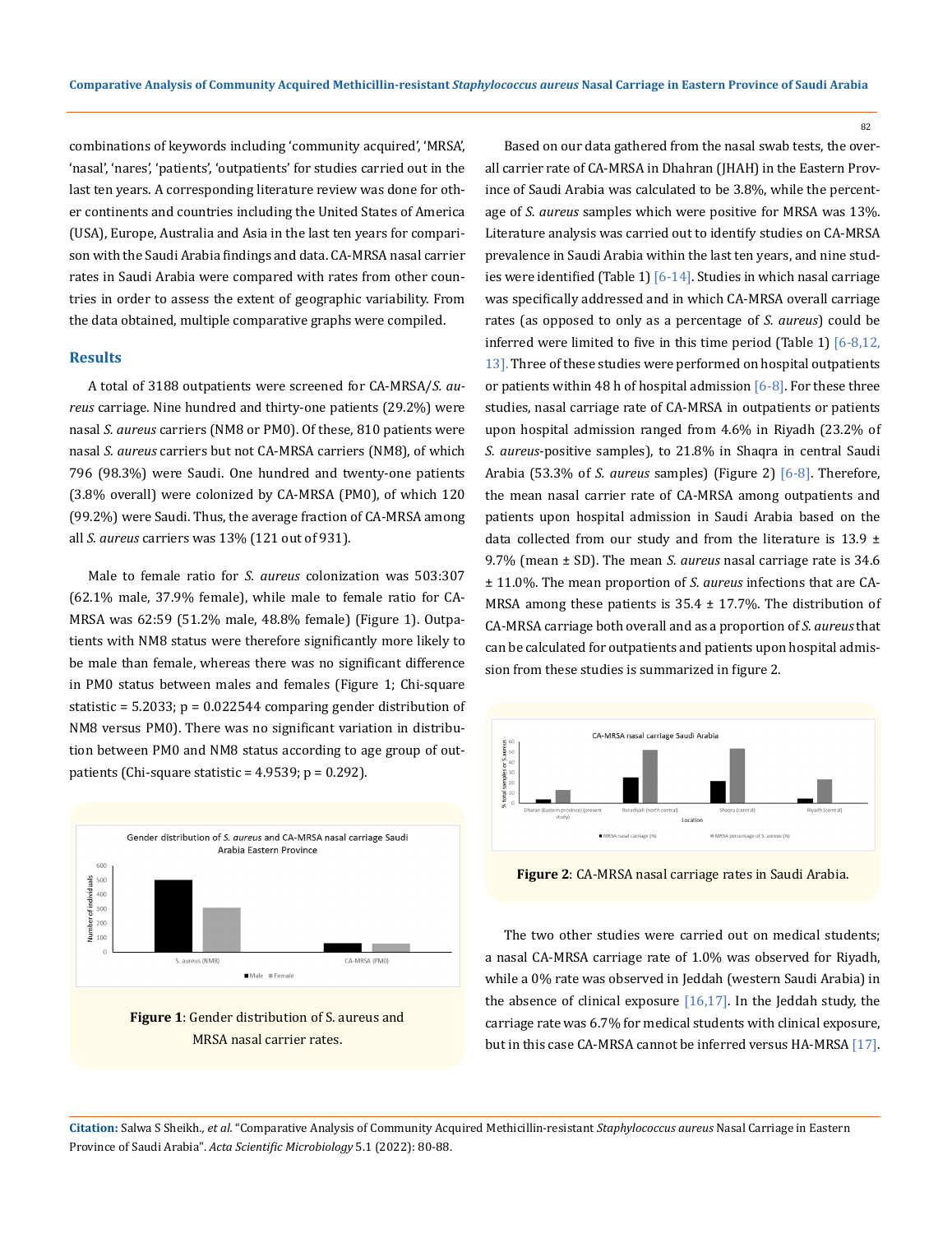combinations of keywords including 'community acquired', 'MRSA', 'nasal', 'nares', 'patients', 'outpatients' for studies carried out in the last ten years. A corresponding literature review was done for other continents and countries including the United States of America (USA), Europe, Australia and Asia in the last ten years for comparison with the Saudi Arabia findings and data. CA-MRSA nasal carrier rates in Saudi Arabia were compared with rates from other countries in order to assess the extent of geographic variability. From the data obtained, multiple comparative graphs were compiled.

# **Results**

A total of 3188 outpatients were screened for CA-MRSA/*S. aureus* carriage. Nine hundred and thirty-one patients (29.2%) were nasal *S. aureus* carriers (NM8 or PM0). Of these, 810 patients were nasal *S. aureus* carriers but not CA-MRSA carriers (NM8), of which 796 (98.3%) were Saudi. One hundred and twenty-one patients (3.8% overall) were colonized by CA-MRSA (PM0), of which 120 (99.2%) were Saudi. Thus, the average fraction of CA-MRSA among all *S. aureus* carriers was 13% (121 out of 931).

Male to female ratio for *S. aureus* colonization was 503:307 (62.1% male, 37.9% female), while male to female ratio for CA-MRSA was 62:59 (51.2% male, 48.8% female) (Figure 1). Outpatients with NM8 status were therefore significantly more likely to be male than female, whereas there was no significant difference in PM0 status between males and females (Figure 1; Chi-square statistic =  $5.2033$ ;  $p = 0.022544$  comparing gender distribution of NM8 versus PM0). There was no significant variation in distribution between PM0 and NM8 status according to age group of outpatients (Chi-square statistic =  $4.9539$ ; p =  $0.292$ ).





Based on our data gathered from the nasal swab tests, the overall carrier rate of CA-MRSA in Dhahran (JHAH) in the Eastern Province of Saudi Arabia was calculated to be 3.8%, while the percentage of *S. aureus* samples which were positive for MRSA was 13%. Literature analysis was carried out to identify studies on CA-MRSA prevalence in Saudi Arabia within the last ten years, and nine studies were identified (Table 1)  $[6-14]$ . Studies in which nasal carriage was specifically addressed and in which CA-MRSA overall carriage rates (as opposed to only as a percentage of *S. aureus*) could be inferred were limited to five in this time period (Table 1) [6-8,12, 13]. Three of these studies were performed on hospital outpatients or patients within 48 h of hospital admission  $[6-8]$ . For these three studies, nasal carriage rate of CA-MRSA in outpatients or patients upon hospital admission ranged from 4.6% in Riyadh (23.2% of *S. aureus*-positive samples), to 21.8% in Shaqra in central Saudi Arabia (53.3% of *S. aureus* samples) (Figure 2) [6-8]. Therefore, the mean nasal carrier rate of CA-MRSA among outpatients and patients upon hospital admission in Saudi Arabia based on the data collected from our study and from the literature is 13.9  $\pm$ 9.7% (mean ± SD). The mean *S. aureus* nasal carriage rate is 34.6 ± 11.0%. The mean proportion of *S. aureus* infections that are CA-MRSA among these patients is  $35.4 \pm 17.7$ %. The distribution of CA-MRSA carriage both overall and as a proportion of *S. aureus* that can be calculated for outpatients and patients upon hospital admission from these studies is summarized in figure 2.

82



**Figure 2**: CA-MRSA nasal carriage rates in Saudi Arabia.

The two other studies were carried out on medical students; a nasal CA-MRSA carriage rate of 1.0% was observed for Riyadh, while a 0% rate was observed in Jeddah (western Saudi Arabia) in the absence of clinical exposure  $[16,17]$ . In the Jeddah study, the carriage rate was 6.7% for medical students with clinical exposure, but in this case CA-MRSA cannot be inferred versus HA-MRSA [17].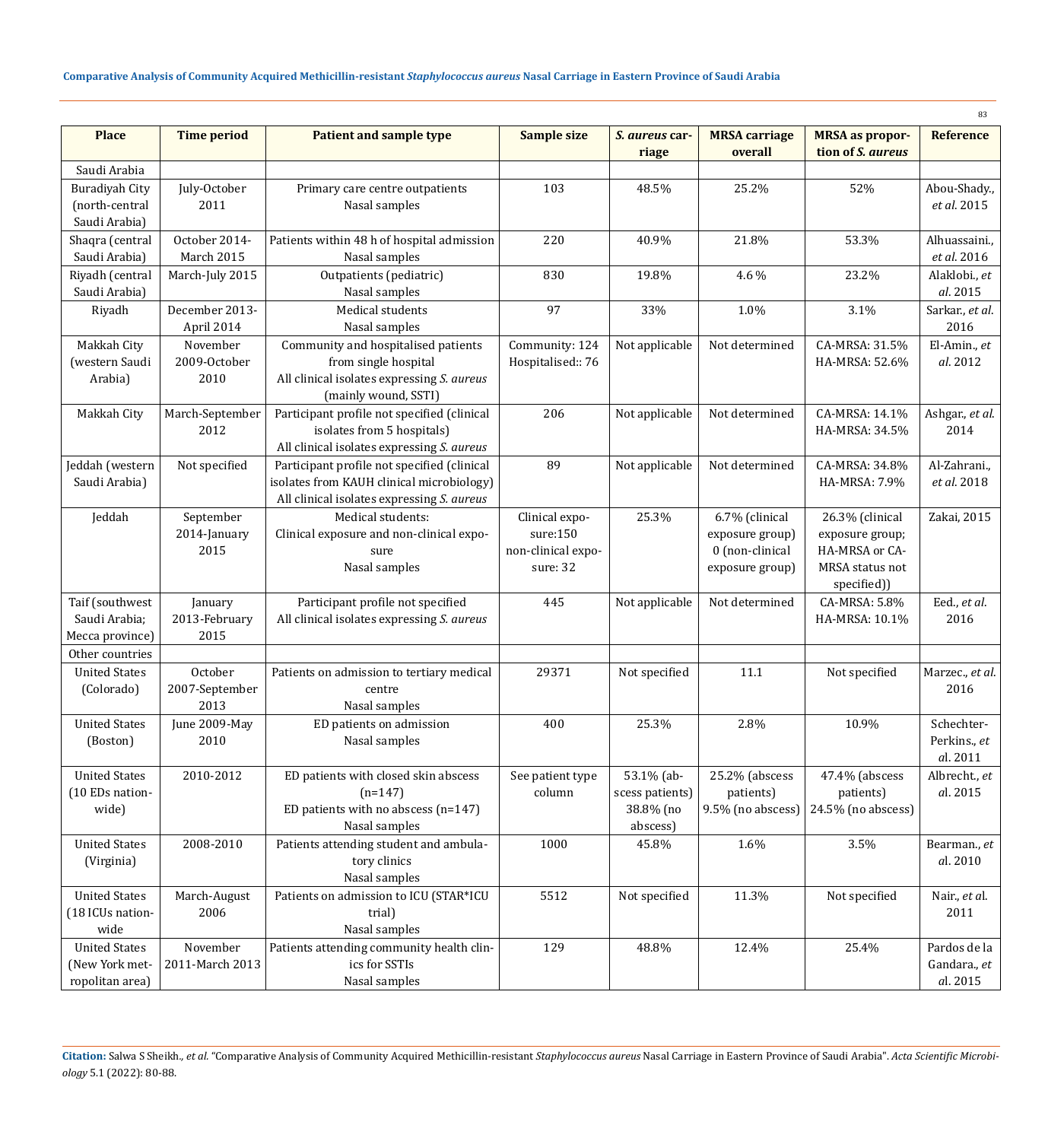|                                         |                             |                                                             |                            |                               |                                    |                                   | 83                           |
|-----------------------------------------|-----------------------------|-------------------------------------------------------------|----------------------------|-------------------------------|------------------------------------|-----------------------------------|------------------------------|
| <b>Place</b>                            | <b>Time period</b>          | <b>Patient and sample type</b>                              | <b>Sample size</b>         | S. aureus car-                | <b>MRSA</b> carriage               | <b>MRSA</b> as propor-            | <b>Reference</b>             |
|                                         |                             |                                                             |                            | riage                         | overall                            | tion of S. aureus                 |                              |
| Saudi Arabia                            |                             |                                                             |                            |                               |                                    |                                   |                              |
| Buradiyah City                          | July-October                | Primary care centre outpatients                             | 103                        | 48.5%                         | 25.2%                              | 52%                               | Abou-Shady.,                 |
| (north-central                          | 2011                        | Nasal samples                                               |                            |                               |                                    |                                   | et al. 2015                  |
| Saudi Arabia)                           |                             |                                                             |                            |                               |                                    |                                   |                              |
| Shaqra (central                         | October 2014-<br>March 2015 | Patients within 48 h of hospital admission<br>Nasal samples | 220                        | 40.9%                         | 21.8%                              | 53.3%                             | Alhuassaini.,<br>et al. 2016 |
| Saudi Arabia)                           |                             |                                                             |                            |                               |                                    | 23.2%                             |                              |
| Riyadh (central<br>Saudi Arabia)        | March-July 2015             | Outpatients (pediatric)<br>Nasal samples                    | 830                        | 19.8%                         | 4.6 %                              |                                   | Alaklobi., et<br>al. 2015    |
| Riyadh                                  | December 2013-              | Medical students                                            | 97                         | 33%                           | 1.0%                               | 3.1%                              | Sarkar., et al.              |
|                                         | April 2014                  | Nasal samples                                               |                            |                               |                                    |                                   | 2016                         |
| Makkah City                             | November                    | Community and hospitalised patients                         | Community: 124             | Not applicable                | Not determined                     | CA-MRSA: 31.5%                    | El-Amin., et                 |
| (western Saudi                          | 2009-October                | from single hospital                                        | Hospitalised:: 76          |                               |                                    | HA-MRSA: 52.6%                    | al. 2012                     |
| Arabia)                                 | 2010                        | All clinical isolates expressing S. aureus                  |                            |                               |                                    |                                   |                              |
|                                         |                             | (mainly wound, SSTI)                                        |                            |                               |                                    |                                   |                              |
| Makkah City                             | March-September             | Participant profile not specified (clinical                 | 206                        | Not applicable                | Not determined                     | CA-MRSA: 14.1%                    | Ashgar., et al.              |
|                                         | 2012                        | isolates from 5 hospitals)                                  |                            |                               |                                    | HA-MRSA: 34.5%                    | 2014                         |
|                                         |                             | All clinical isolates expressing S. aureus                  |                            |                               |                                    |                                   |                              |
| Jeddah (western                         | Not specified               | Participant profile not specified (clinical                 | 89                         | Not applicable                | Not determined                     | CA-MRSA: 34.8%                    | Al-Zahrani.,                 |
| Saudi Arabia)                           |                             | isolates from KAUH clinical microbiology)                   |                            |                               |                                    | HA-MRSA: 7.9%                     | et al. 2018                  |
|                                         |                             | All clinical isolates expressing S. aureus                  |                            |                               |                                    |                                   |                              |
| Jeddah                                  | September                   | Medical students:                                           | Clinical expo-<br>sure:150 | 25.3%                         | 6.7% (clinical                     | 26.3% (clinical                   | Zakai, 2015                  |
|                                         | 2014-January<br>2015        | Clinical exposure and non-clinical expo-<br>sure            | non-clinical expo-         |                               | exposure group)<br>0 (non-clinical | exposure group;<br>HA-MRSA or CA- |                              |
|                                         |                             | Nasal samples                                               | sure: 32                   |                               | exposure group)                    | MRSA status not                   |                              |
|                                         |                             |                                                             |                            |                               |                                    | specified))                       |                              |
| Taif (southwest                         | January                     | Participant profile not specified                           | 445                        | Not applicable                | Not determined                     | CA-MRSA: 5.8%                     | Eed., et al.                 |
| Saudi Arabia;                           | 2013-February               | All clinical isolates expressing S. aureus                  |                            |                               |                                    | HA-MRSA: 10.1%                    | 2016                         |
| Mecca province)                         | 2015                        |                                                             |                            |                               |                                    |                                   |                              |
| Other countries                         |                             |                                                             |                            |                               |                                    |                                   |                              |
| <b>United States</b>                    | October                     | Patients on admission to tertiary medical                   | 29371                      | Not specified                 | 11.1                               | Not specified                     | Marzec., et al.              |
| (Colorado)                              | 2007-September              | centre                                                      |                            |                               |                                    |                                   | 2016                         |
|                                         | 2013                        | Nasal samples                                               |                            |                               |                                    |                                   |                              |
| <b>United States</b>                    | June 2009-May               | ED patients on admission                                    | 400                        | 25.3%                         | 2.8%                               | 10.9%                             | Schechter-                   |
| (Boston)                                | 2010                        | Nasal samples                                               |                            |                               |                                    |                                   | Perkins., et                 |
|                                         |                             |                                                             |                            |                               |                                    |                                   | al. 2011                     |
| <b>United States</b><br>(10 EDs nation- | 2010-2012                   | ED patients with closed skin abscess<br>$(n=147)$           | See patient type<br>column | 53.1% (ab-<br>scess patients) | 25.2% (abscess<br>patients)        | 47.4% (abscess<br>patients)       | Albrecht., et<br>al. 2015    |
| wide)                                   |                             | ED patients with no abscess $(n=147)$                       |                            | 38.8% (no                     | 9.5% (no abscess)                  | 24.5% (no abscess)                |                              |
|                                         |                             | Nasal samples                                               |                            | abscess)                      |                                    |                                   |                              |
| <b>United States</b>                    | 2008-2010                   | Patients attending student and ambula-                      | 1000                       | 45.8%                         | 1.6%                               | 3.5%                              | Bearman., et                 |
| (Virginia)                              |                             | tory clinics                                                |                            |                               |                                    |                                   | al. 2010                     |
|                                         |                             | Nasal samples                                               |                            |                               |                                    |                                   |                              |
| <b>United States</b>                    | March-August                | Patients on admission to ICU (STAR*ICU                      | 5512                       | Not specified                 | 11.3%                              | Not specified                     | Nair., et al.                |
| (18 ICUs nation-                        | 2006                        | trial)                                                      |                            |                               |                                    |                                   | 2011                         |
| wide                                    |                             | Nasal samples                                               |                            |                               |                                    |                                   |                              |
| <b>United States</b>                    | November                    | Patients attending community health clin-                   | 129                        | 48.8%                         | 12.4%                              | 25.4%                             | Pardos de la                 |
| (New York met-                          | 2011-March 2013             | ics for SSTIs                                               |                            |                               |                                    |                                   | Gandara., et                 |
| ropolitan area)                         |                             | Nasal samples                                               |                            |                               |                                    |                                   | al. 2015                     |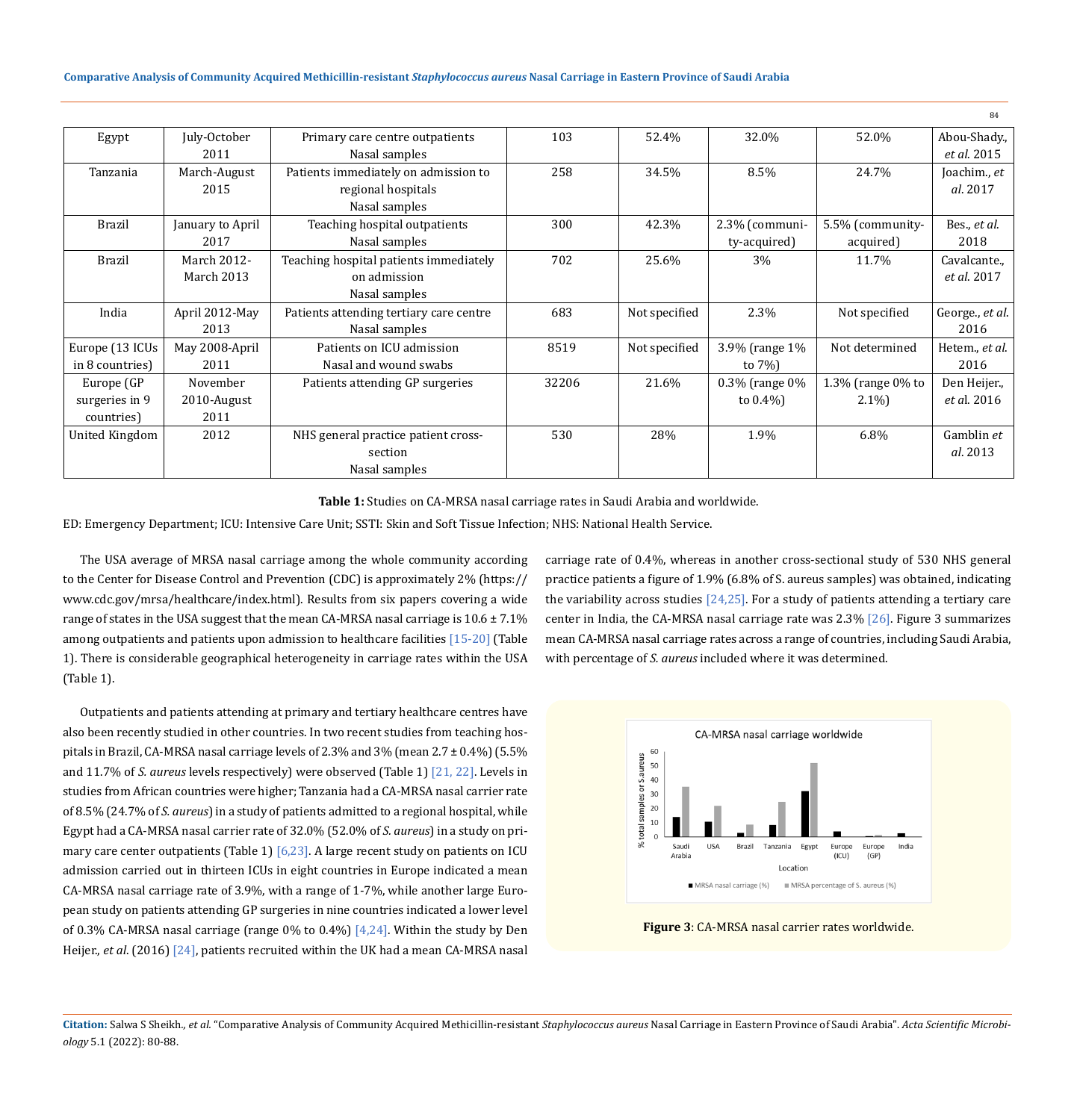### **Comparative Analysis of Community Acquired Methicillin-resistant** *Staphylococcus aureus* **Nasal Carriage in Eastern Province of Saudi Arabia**

|                 |                  |                                         |       |               |                |                   | 84                 |
|-----------------|------------------|-----------------------------------------|-------|---------------|----------------|-------------------|--------------------|
| Egypt           | July-October     | Primary care centre outpatients         | 103   | 52.4%         | 32.0%          | 52.0%             | Abou-Shady.,       |
|                 | 2011             | Nasal samples                           |       |               |                |                   | et al. 2015        |
| Tanzania        | March-August     | Patients immediately on admission to    | 258   | 34.5%         | 8.5%           | 24.7%             | Joachim., et       |
|                 | 2015             | regional hospitals                      |       |               |                |                   | al. 2017           |
|                 |                  | Nasal samples                           |       |               |                |                   |                    |
| <b>Brazil</b>   | January to April | Teaching hospital outpatients           | 300   | 42.3%         | 2.3% (communi- | 5.5% (community-  | Bes., et al.       |
|                 | 2017             | Nasal samples                           |       |               | ty-acquired)   | acquired)         | 2018               |
| <b>Brazil</b>   | March 2012-      | Teaching hospital patients immediately  | 702   | 25.6%         | 3%             | 11.7%             | Cavalcante.,       |
|                 | March 2013       | on admission                            |       |               |                |                   | et al. 2017        |
|                 |                  | Nasal samples                           |       |               |                |                   |                    |
| India           | April 2012-May   | Patients attending tertiary care centre | 683   | Not specified | 2.3%           | Not specified     | George., et al.    |
|                 | 2013             | Nasal samples                           |       |               |                |                   | 2016               |
| Europe (13 ICUs | May 2008-April   | Patients on ICU admission               | 8519  | Not specified | 3.9% (range 1% | Not determined    | Hetem., et al.     |
| in 8 countries) | 2011             | Nasal and wound swabs                   |       |               | to $7\%$ )     |                   | 2016               |
| Europe (GP      | November         | Patients attending GP surgeries         | 32206 | 21.6%         | 0.3% (range 0% | 1.3% (range 0% to | Den Heijer.,       |
| surgeries in 9  | 2010-August      |                                         |       |               | to $0.4\%$ )   | $2.1\%$           | <i>et al.</i> 2016 |
| countries)      | 2011             |                                         |       |               |                |                   |                    |
| United Kingdom  | 2012             | NHS general practice patient cross-     | 530   | 28%           | 1.9%           | $6.8\%$           | Gamblin et         |
|                 |                  | section                                 |       |               |                |                   | al. 2013           |
|                 |                  | Nasal samples                           |       |               |                |                   |                    |

**Table 1:** Studies on CA-MRSA nasal carriage rates in Saudi Arabia and worldwide.

ED: Emergency Department; ICU: Intensive Care Unit; SSTI: Skin and Soft Tissue Infection; NHS: National Health Service.

The USA average of MRSA nasal carriage among the whole community according to the Center for Disease Control and Prevention (CDC) is approximately 2% (https:// www.cdc.gov/mrsa/healthcare/index.html). Results from six papers covering a wide range of states in the USA suggest that the mean CA-MRSA nasal carriage is  $10.6 \pm 7.1\%$ among outpatients and patients upon admission to healthcare facilities [15-20] (Table 1). There is considerable geographical heterogeneity in carriage rates within the USA (Table 1).

Outpatients and patients attending at primary and tertiary healthcare centres have also been recently studied in other countries. In two recent studies from teaching hospitals in Brazil, CA-MRSA nasal carriage levels of 2.3% and 3% (mean 2.7 ± 0.4%) (5.5% and 11.7% of *S. aureus* levels respectively) were observed (Table 1) [21, 22]. Levels in studies from African countries were higher; Tanzania had a CA-MRSA nasal carrier rate of 8.5% (24.7% of *S. aureus*) in a study of patients admitted to a regional hospital, while Egypt had a CA-MRSA nasal carrier rate of 32.0% (52.0% of *S. aureus*) in a study on primary care center outpatients (Table 1)  $[6,23]$ . A large recent study on patients on ICU admission carried out in thirteen ICUs in eight countries in Europe indicated a mean CA-MRSA nasal carriage rate of 3.9%, with a range of 1-7%, while another large European study on patients attending GP surgeries in nine countries indicated a lower level of 0.3% CA-MRSA nasal carriage (range  $0\%$  to 0.4%) [4.24]. Within the study by Den Heijer., *et al*. (2016) [24], patients recruited within the UK had a mean CA-MRSA nasal carriage rate of 0.4%, whereas in another cross-sectional study of 530 NHS general practice patients a figure of 1.9% (6.8% of S. aureus samples) was obtained, indicating the variability across studies  $[24,25]$ . For a study of patients attending a tertiary care center in India, the CA-MRSA nasal carriage rate was 2.3% [26]. Figure 3 summarizes mean CA-MRSA nasal carriage rates across a range of countries, including Saudi Arabia, with percentage of *S. aureus* included where it was determined.



**Figure 3**: CA-MRSA nasal carrier rates worldwide.

Citation: Salwa S Sheikh., et al. "Comparative Analysis of Community Acquired Methicillin-resistant Staphylococcus aureus Nasal Carriage in Eastern Province of Saudi Arabia". Acta Scientific Microbi*ology* 5.1 (2022): 80-88.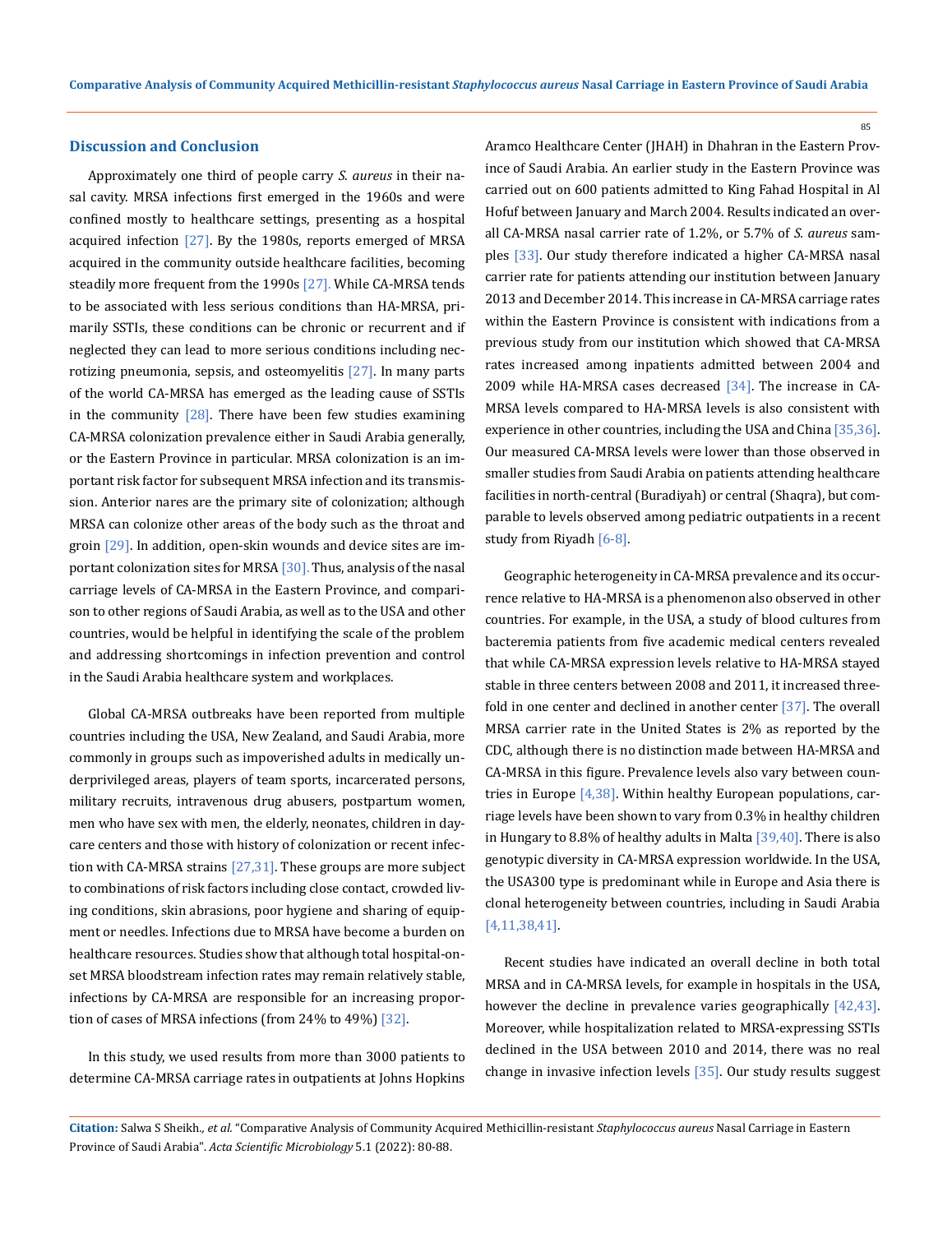#### 85

### **Discussion and Conclusion**

Approximately one third of people carry *S. aureus* in their nasal cavity. MRSA infections first emerged in the 1960s and were confined mostly to healthcare settings, presenting as a hospital acquired infection  $[27]$ . By the 1980s, reports emerged of MRSA acquired in the community outside healthcare facilities, becoming steadily more frequent from the 1990s [27]. While CA-MRSA tends to be associated with less serious conditions than HA-MRSA, primarily SSTIs, these conditions can be chronic or recurrent and if neglected they can lead to more serious conditions including necrotizing pneumonia, sepsis, and osteomyelitis [27]. In many parts of the world CA-MRSA has emerged as the leading cause of SSTIs in the community  $[28]$ . There have been few studies examining CA-MRSA colonization prevalence either in Saudi Arabia generally, or the Eastern Province in particular. MRSA colonization is an important risk factor for subsequent MRSA infection and its transmission. Anterior nares are the primary site of colonization; although MRSA can colonize other areas of the body such as the throat and groin  $[29]$ . In addition, open-skin wounds and device sites are important colonization sites for MRSA [30]. Thus, analysis of the nasal carriage levels of CA-MRSA in the Eastern Province, and comparison to other regions of Saudi Arabia, as well as to the USA and other countries, would be helpful in identifying the scale of the problem and addressing shortcomings in infection prevention and control in the Saudi Arabia healthcare system and workplaces.

Global CA-MRSA outbreaks have been reported from multiple countries including the USA, New Zealand, and Saudi Arabia, more commonly in groups such as impoverished adults in medically underprivileged areas, players of team sports, incarcerated persons, military recruits, intravenous drug abusers, postpartum women, men who have sex with men, the elderly, neonates, children in daycare centers and those with history of colonization or recent infection with CA-MRSA strains  $[27,31]$ . These groups are more subject to combinations of risk factors including close contact, crowded living conditions, skin abrasions, poor hygiene and sharing of equipment or needles. Infections due to MRSA have become a burden on healthcare resources. Studies show that although total hospital-onset MRSA bloodstream infection rates may remain relatively stable, infections by CA-MRSA are responsible for an increasing proportion of cases of MRSA infections (from 24% to 49%)  $[32]$ .

In this study, we used results from more than 3000 patients to determine CA-MRSA carriage rates in outpatients at Johns Hopkins Aramco Healthcare Center (JHAH) in Dhahran in the Eastern Province of Saudi Arabia. An earlier study in the Eastern Province was carried out on 600 patients admitted to King Fahad Hospital in Al Hofuf between January and March 2004. Results indicated an overall CA-MRSA nasal carrier rate of 1.2%, or 5.7% of *S. aureus* samples [33]. Our study therefore indicated a higher CA-MRSA nasal carrier rate for patients attending our institution between January 2013 and December 2014. This increase in CA-MRSA carriage rates within the Eastern Province is consistent with indications from a previous study from our institution which showed that CA-MRSA rates increased among inpatients admitted between 2004 and 2009 while HA-MRSA cases decreased  $[34]$ . The increase in CA-MRSA levels compared to HA-MRSA levels is also consistent with experience in other countries, including the USA and China [35,36]. Our measured CA-MRSA levels were lower than those observed in smaller studies from Saudi Arabia on patients attending healthcare facilities in north-central (Buradiyah) or central (Shaqra), but comparable to levels observed among pediatric outpatients in a recent study from Riyadh [6-8].

Geographic heterogeneity in CA-MRSA prevalence and its occurrence relative to HA-MRSA is a phenomenon also observed in other countries. For example, in the USA, a study of blood cultures from bacteremia patients from five academic medical centers revealed that while CA-MRSA expression levels relative to HA-MRSA stayed stable in three centers between 2008 and 2011, it increased threefold in one center and declined in another center [37]. The overall MRSA carrier rate in the United States is 2% as reported by the CDC, although there is no distinction made between HA-MRSA and CA-MRSA in this figure. Prevalence levels also vary between countries in Europe [4,38]. Within healthy European populations, carriage levels have been shown to vary from 0.3% in healthy children in Hungary to 8.8% of healthy adults in Malta  $[39,40]$ . There is also genotypic diversity in CA-MRSA expression worldwide. In the USA, the USA300 type is predominant while in Europe and Asia there is clonal heterogeneity between countries, including in Saudi Arabia [4,11,38,41].

Recent studies have indicated an overall decline in both total MRSA and in CA-MRSA levels, for example in hospitals in the USA, however the decline in prevalence varies geographically [42,43]. Moreover, while hospitalization related to MRSA-expressing SSTIs declined in the USA between 2010 and 2014, there was no real change in invasive infection levels [35]. Our study results suggest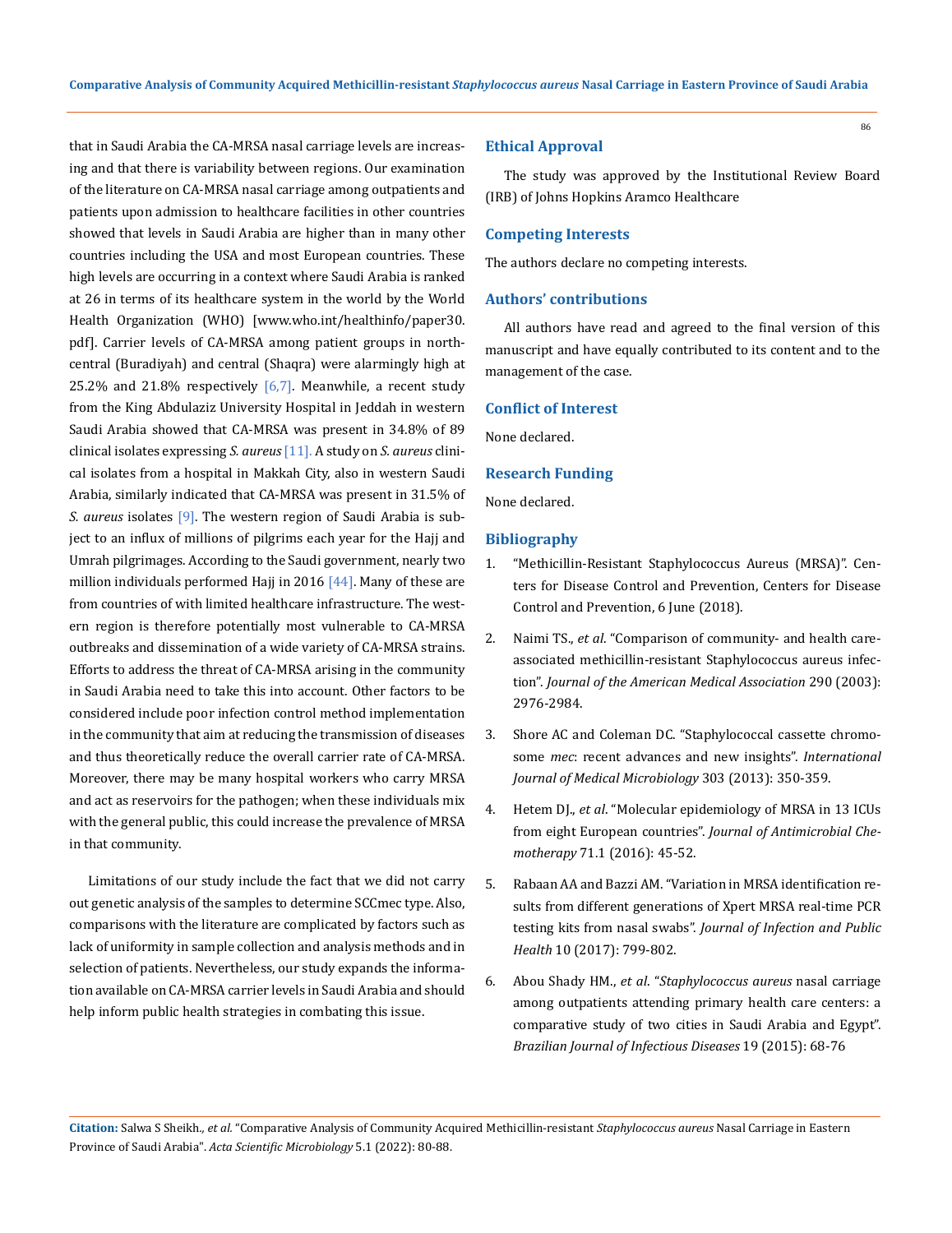that in Saudi Arabia the CA-MRSA nasal carriage levels are increasing and that there is variability between regions. Our examination of the literature on CA-MRSA nasal carriage among outpatients and patients upon admission to healthcare facilities in other countries showed that levels in Saudi Arabia are higher than in many other countries including the USA and most European countries. These high levels are occurring in a context where Saudi Arabia is ranked at 26 in terms of its healthcare system in the world by the World Health Organization (WHO) [\[www.who.int/healthinfo/paper30.](http://www.who.int/healthinfo/paper30.pdf) [pdf](http://www.who.int/healthinfo/paper30.pdf)]. Carrier levels of CA-MRSA among patient groups in northcentral (Buradiyah) and central (Shaqra) were alarmingly high at 25.2% and 21.8% respectively  $[6,7]$ . Meanwhile, a recent study from the King Abdulaziz University Hospital in Jeddah in western Saudi Arabia showed that CA-MRSA was present in 34.8% of 89 clinical isolates expressing *S. aureus* [11]. A study on *S. aureus* clinical isolates from a hospital in Makkah City, also in western Saudi Arabia, similarly indicated that CA-MRSA was present in 31.5% of *S. aureus* isolates [9]. The western region of Saudi Arabia is subject to an influx of millions of pilgrims each year for the Hajj and Umrah pilgrimages. According to the Saudi government, nearly two million individuals performed Hajj in 2016  $[44]$ . Many of these are from countries of with limited healthcare infrastructure. The western region is therefore potentially most vulnerable to CA-MRSA outbreaks and dissemination of a wide variety of CA-MRSA strains. Efforts to address the threat of CA-MRSA arising in the community in Saudi Arabia need to take this into account. Other factors to be considered include poor infection control method implementation in the community that aim at reducing the transmission of diseases and thus theoretically reduce the overall carrier rate of CA-MRSA. Moreover, there may be many hospital workers who carry MRSA and act as reservoirs for the pathogen; when these individuals mix with the general public, this could increase the prevalence of MRSA in that community.

Limitations of our study include the fact that we did not carry out genetic analysis of the samples to determine SCCmec type. Also, comparisons with the literature are complicated by factors such as lack of uniformity in sample collection and analysis methods and in selection of patients. Nevertheless, our study expands the information available on CA-MRSA carrier levels in Saudi Arabia and should help inform public health strategies in combating this issue.

# **Ethical Approval**

The study was approved by the Institutional Review Board (IRB) of Johns Hopkins Aramco Healthcare

### **Competing Interests**

The authors declare no competing interests.

## **Authors' contributions**

All authors have read and agreed to the final version of this manuscript and have equally contributed to its content and to the management of the case.

## **Conflict of Interest**

None declared.

## **Research Funding**

None declared.

# **Bibliography**

- 1. ["Methicillin-Resistant Staphylococcus Aureus \(MRSA\)". Cen](http://www.cdc.gov/mrsa/index.html)[ters for Disease Control and Prevention, Centers for Disease](http://www.cdc.gov/mrsa/index.html) [Control and Prevention, 6 June \(2018\).](http://www.cdc.gov/mrsa/index.html)
- 2. Naimi TS., *et al*. "Comparison of community- and health careassociated methicillin-resistant Staphylococcus aureus infection". *Journal of the American Medical Association* 290 (2003): 2976-2984.
- 3. [Shore AC and Coleman DC. "Staphylococcal cassette chromo](https://pubmed.ncbi.nlm.nih.gov/23499303/)some *mec*[: recent advances and new insights".](https://pubmed.ncbi.nlm.nih.gov/23499303/) *International [Journal of Medical Microbiology](https://pubmed.ncbi.nlm.nih.gov/23499303/)* 303 (2013): 350-359.
- 4. Hetem DJ., *et al*[. "Molecular epidemiology of MRSA in 13 ICUs](https://pubmed.ncbi.nlm.nih.gov/26424737/) from eight European countries". *[Journal of Antimicrobial Che](https://pubmed.ncbi.nlm.nih.gov/26424737/)motherapy* [71.1 \(2016\): 45-52.](https://pubmed.ncbi.nlm.nih.gov/26424737/)
- 5. [Rabaan AA and Bazzi AM. "Variation in MRSA identification re](https://pubmed.ncbi.nlm.nih.gov/28185823/)[sults from different generations of Xpert MRSA real-time PCR](https://pubmed.ncbi.nlm.nih.gov/28185823/)  testing kits from nasal swabs". *[Journal of Infection and Public](https://pubmed.ncbi.nlm.nih.gov/28185823/)  Health* [10 \(2017\): 799-802.](https://pubmed.ncbi.nlm.nih.gov/28185823/)
- 6. Abou Shady HM., *et al*. "*Staphylococcus aureus* nasal carriage among outpatients attending primary health care centers: a comparative study of two cities in Saudi Arabia and Egypt". *Brazilian Journal of Infectious Diseases* 19 (2015): 68-76

**Citation:** Salwa S Sheikh*., et al.* "Comparative Analysis of Community Acquired Methicillin-resistant *Staphylococcus aureus* Nasal Carriage in Eastern Province of Saudi Arabia". *Acta Scientific Microbiology* 5.1 (2022): 80-88.

86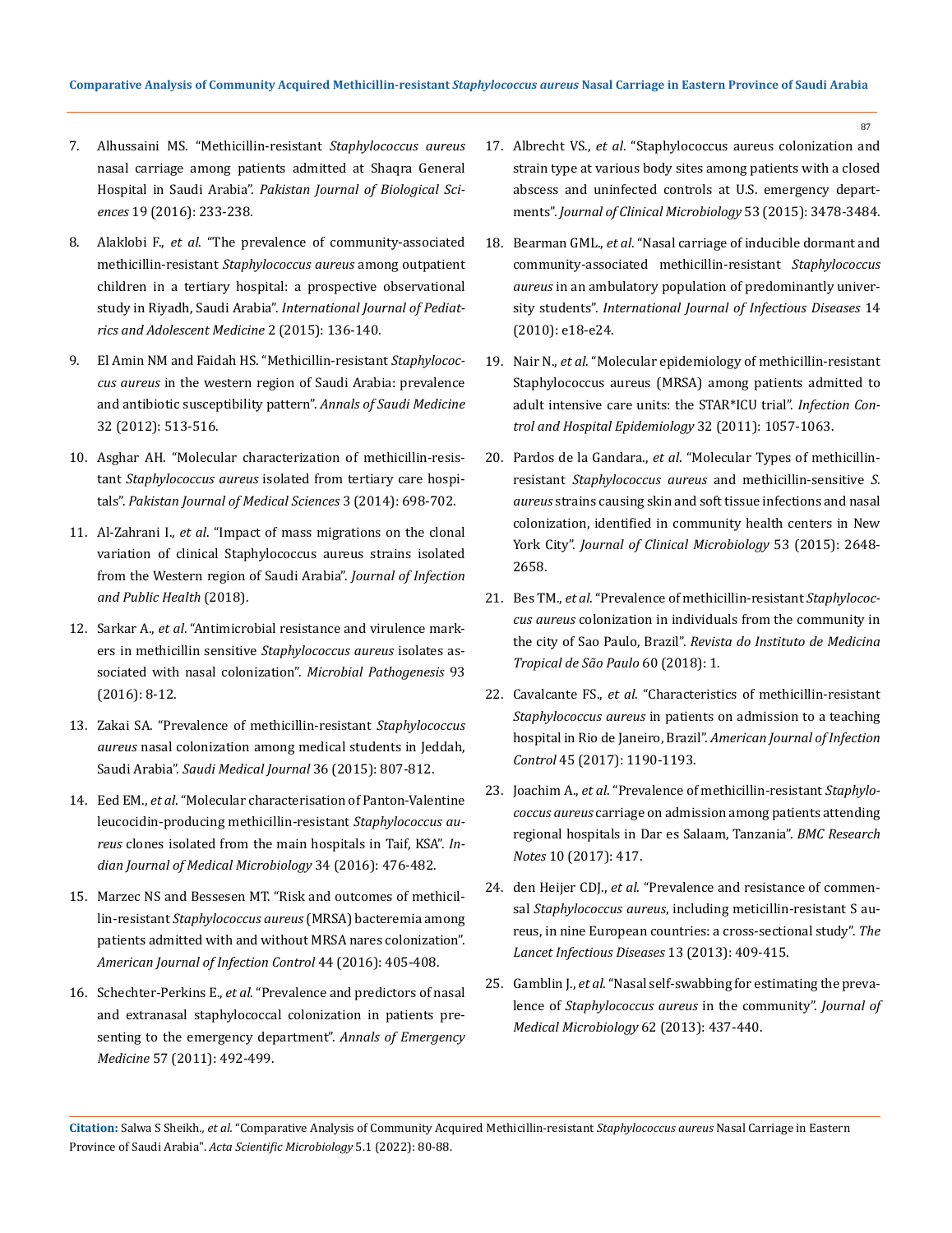- 7. [Alhussaini MS. "Methicillin-resistant](https://pubmed.ncbi.nlm.nih.gov/29023028/) *Staphylococcus aureus*  [nasal carriage among patients admitted at Shaqra General](https://pubmed.ncbi.nlm.nih.gov/29023028/)  Hospital in Saudi Arabia". *[Pakistan Journal of Biological Sci](https://pubmed.ncbi.nlm.nih.gov/29023028/)ences* [19 \(2016\): 233-238.](https://pubmed.ncbi.nlm.nih.gov/29023028/)
- 8. Alaklobi F., *et al*[. "The prevalence of community-associated](https://pubmed.ncbi.nlm.nih.gov/30805452/)  methicillin-resistant *[Staphylococcus aureus](https://pubmed.ncbi.nlm.nih.gov/30805452/)* among outpatient [children in a tertiary hospital: a prospective observational](https://pubmed.ncbi.nlm.nih.gov/30805452/)  study in Riyadh, Saudi Arabia". *[International Journal of Pediat](https://pubmed.ncbi.nlm.nih.gov/30805452/)[rics and Adolescent Medicine](https://pubmed.ncbi.nlm.nih.gov/30805452/)* 2 (2015): 136-140.
- 9. [El Amin NM and Faidah HS. "Methicillin-resistant](https://pubmed.ncbi.nlm.nih.gov/22871621/) *Staphylococcus aureus* [in the western region of Saudi Arabia: prevalence](https://pubmed.ncbi.nlm.nih.gov/22871621/)  [and antibiotic susceptibility pattern".](https://pubmed.ncbi.nlm.nih.gov/22871621/) *Annals of Saudi Medicine* [32 \(2012\): 513-516.](https://pubmed.ncbi.nlm.nih.gov/22871621/)
- 10. [Asghar AH. "Molecular characterization of methicillin-resis](https://pubmed.ncbi.nlm.nih.gov/25097499/)tant *Staphylococcus aureus* [isolated from tertiary care hospi](https://pubmed.ncbi.nlm.nih.gov/25097499/)tals". *[Pakistan Journal of Medical Sciences](https://pubmed.ncbi.nlm.nih.gov/25097499/)* 3 (2014): 698-702.
- 11. Al-Zahrani I., *et al*[. "Impact of mass migrations on the clonal](https://pubmed.ncbi.nlm.nih.gov/30477918/)  [variation of clinical Staphylococcus aureus strains isolated](https://pubmed.ncbi.nlm.nih.gov/30477918/)  [from the Western region of Saudi Arabia".](https://pubmed.ncbi.nlm.nih.gov/30477918/) *Journal of Infection [and Public Health](https://pubmed.ncbi.nlm.nih.gov/30477918/)* (2018).
- 12. Sarkar A., *et al*[. "Antimicrobial resistance and virulence mark](https://pubmed.ncbi.nlm.nih.gov/26796298/)ers in methicillin sensitive *[Staphylococcus aureus](https://pubmed.ncbi.nlm.nih.gov/26796298/)* isolates as[sociated with nasal colonization".](https://pubmed.ncbi.nlm.nih.gov/26796298/) *Microbial Pathogenesis* 93 [\(2016\): 8-12.](https://pubmed.ncbi.nlm.nih.gov/26796298/)
- 13. [Zakai SA. "Prevalence of methicillin-resistant](https://www.jnsmonline.org/article.asp?issn=2589-627X;year=2019;volume=2;issue=4;spage=226;epage=230;aulast=Albusayes) *Staphylococcus aureus* [nasal colonization among medical students in Jeddah,](https://www.jnsmonline.org/article.asp?issn=2589-627X;year=2019;volume=2;issue=4;spage=226;epage=230;aulast=Albusayes)  Saudi Arabia". *[Saudi Medical Journal](https://www.jnsmonline.org/article.asp?issn=2589-627X;year=2019;volume=2;issue=4;spage=226;epage=230;aulast=Albusayes)* 36 (2015): 807-812.
- 14. Eed EM., *et al*[. "Molecular characterisation of Panton-Valentine](https://pubmed.ncbi.nlm.nih.gov/27934826/)  [leucocidin-producing methicillin-resistant](https://pubmed.ncbi.nlm.nih.gov/27934826/) *Staphylococcus aureus* [clones isolated from the main hospitals in Taif, KSA".](https://pubmed.ncbi.nlm.nih.gov/27934826/) *In[dian Journal of Medical Microbiology](https://pubmed.ncbi.nlm.nih.gov/27934826/)* 34 (2016): 476-482.
- 15. [Marzec NS and Bessesen MT. "Risk and outcomes of methicil](https://pubmed.ncbi.nlm.nih.gov/27038392/)lin-resistant *[Staphylococcus aureus](https://pubmed.ncbi.nlm.nih.gov/27038392/)* (MRSA) bacteremia among [patients admitted with and without MRSA nares colonization".](https://pubmed.ncbi.nlm.nih.gov/27038392/)  *[American Journal of Infection Control](https://pubmed.ncbi.nlm.nih.gov/27038392/)* 44 (2016): 405-408.
- 16. Schechter-Perkins E., *et al*[. "Prevalence and predictors of nasal](https://pubmed.ncbi.nlm.nih.gov/21239081/)  [and extranasal staphylococcal colonization in patients pre](https://pubmed.ncbi.nlm.nih.gov/21239081/)[senting to the emergency department".](https://pubmed.ncbi.nlm.nih.gov/21239081/) *Annals of Emergency Medicine* [57 \(2011\): 492-499.](https://pubmed.ncbi.nlm.nih.gov/21239081/)

17. Albrecht VS., *et al*[. "Staphylococcus aureus colonization and](https://pubmed.ncbi.nlm.nih.gov/26292314/)  [strain type at various body sites among patients with a closed](https://pubmed.ncbi.nlm.nih.gov/26292314/)  [abscess and uninfected controls at U.S. emergency depart](https://pubmed.ncbi.nlm.nih.gov/26292314/)ments". *[Journal of Clinical Microbiology](https://pubmed.ncbi.nlm.nih.gov/26292314/)* 53 (2015): 3478-3484.

87

- 18. Bearman GML., *et al*[. "Nasal carriage of inducible dormant and](https://pubmed.ncbi.nlm.nih.gov/20116313/)  [community-associated methicillin-resistant](https://pubmed.ncbi.nlm.nih.gov/20116313/) *Staphylococcus aureus* [in an ambulatory population of predominantly univer](https://pubmed.ncbi.nlm.nih.gov/20116313/)sity students". *[International Journal of Infectious Diseases](https://pubmed.ncbi.nlm.nih.gov/20116313/)* 14 [\(2010\): e18-e24.](https://pubmed.ncbi.nlm.nih.gov/20116313/)
- 19. Nair N., *et al*[. "Molecular epidemiology of methicillin-resistant](https://pubmed.ncbi.nlm.nih.gov/22011531/)  [Staphylococcus aureus \(MRSA\) among patients admitted to](https://pubmed.ncbi.nlm.nih.gov/22011531/)  [adult intensive care units: the STAR\\*ICU trial".](https://pubmed.ncbi.nlm.nih.gov/22011531/) *Infection Con[trol and Hospital Epidemiology](https://pubmed.ncbi.nlm.nih.gov/22011531/)* 32 (2011): 1057-1063.
- 20. Pardos de la Gandara., *et al*[. "Molecular Types of methicillin](https://pubmed.ncbi.nlm.nih.gov/26063853/)resistant *[Staphylococcus aureus](https://pubmed.ncbi.nlm.nih.gov/26063853/)* and methicillin-sensitive *S. aureus* [strains causing skin and soft tissue infections and nasal](https://pubmed.ncbi.nlm.nih.gov/26063853/)  [colonization, identified in community health centers in New](https://pubmed.ncbi.nlm.nih.gov/26063853/)  York City". *[Journal of Clinical Microbiology](https://pubmed.ncbi.nlm.nih.gov/26063853/)* 53 (2015): 2648- [2658.](https://pubmed.ncbi.nlm.nih.gov/26063853/)
- 21. Bes TM., *et al*[. "Prevalence of methicillin-resistant](https://pubmed.ncbi.nlm.nih.gov/30365641/) *Staphylococcus aureus* [colonization in individuals from the community in](https://pubmed.ncbi.nlm.nih.gov/30365641/)  the city of Sao Paulo, Brazil". *[Revista do Instituto de Medicina](https://pubmed.ncbi.nlm.nih.gov/30365641/)  [Tropical de São Paulo](https://pubmed.ncbi.nlm.nih.gov/30365641/)* 60 (2018): 1.
- 22. Cavalcante FS., *et al*[. "Characteristics of methicillin-resistant](https://pubmed.ncbi.nlm.nih.gov/28751036/)  *Staphylococcus aureus* [in patients on admission to a teaching](https://pubmed.ncbi.nlm.nih.gov/28751036/)  hospital in Rio de Janeiro, Brazil". *[American Journal of Infection](https://pubmed.ncbi.nlm.nih.gov/28751036/)  Control* [45 \(2017\): 1190-1193.](https://pubmed.ncbi.nlm.nih.gov/28751036/)
- 23. Joachim A., *et al*[. "Prevalence of methicillin-resistant](https://pubmed.ncbi.nlm.nih.gov/28830510/) *Staphylococcus aureus* [carriage on admission among patients attending](https://pubmed.ncbi.nlm.nih.gov/28830510/)  [regional hospitals in Dar es Salaam, Tanzania".](https://pubmed.ncbi.nlm.nih.gov/28830510/) *BMC Research Notes* [10 \(2017\): 417.](https://pubmed.ncbi.nlm.nih.gov/28830510/)
- 24. den Heijer CDJ., *et al*[. "Prevalence and resistance of commen](https://pubmed.ncbi.nlm.nih.gov/23473661/)sal *Staphylococcus aureus*[, including meticillin-resistant S au](https://pubmed.ncbi.nlm.nih.gov/23473661/)[reus, in nine European countries: a cross-sectional study".](https://pubmed.ncbi.nlm.nih.gov/23473661/) *The [Lancet Infectious Diseases](https://pubmed.ncbi.nlm.nih.gov/23473661/)* 13 (2013): 409-415.
- 25. Gamblin J., *et al*[. "Nasal self-swabbing for estimating the preva](https://pubmed.ncbi.nlm.nih.gov/23222858/)lence of *[Staphylococcus aureus](https://pubmed.ncbi.nlm.nih.gov/23222858/)* in the community". *Journal of [Medical Microbiology](https://pubmed.ncbi.nlm.nih.gov/23222858/)* 62 (2013): 437-440.

**Citation:** Salwa S Sheikh*., et al.* "Comparative Analysis of Community Acquired Methicillin-resistant *Staphylococcus aureus* Nasal Carriage in Eastern Province of Saudi Arabia". *Acta Scientific Microbiology* 5.1 (2022): 80-88.